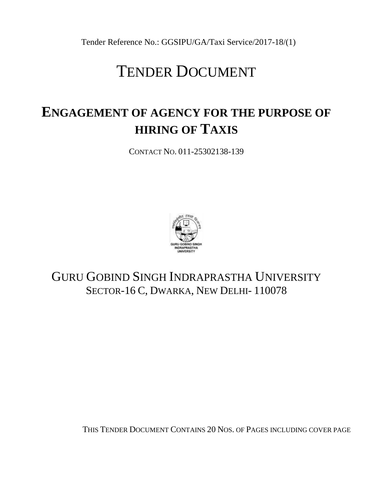Tender Reference No.: GGSIPU/GA/Taxi Service/2017-18/(1)

# TENDER DOCUMENT

# **ENGAGEMENT OF AGENCY FOR THE PURPOSE OF HIRING OF TAXIS**

CONTACT NO. 011-25302138-139



## GURU GOBIND SINGH INDRAPRASTHA UNIVERSITY SECTOR-16 C, DWARKA, NEW DELHI- 110078

THIS TENDER DOCUMENT CONTAINS 20 NOS. OF PAGES INCLUDING COVER PAGE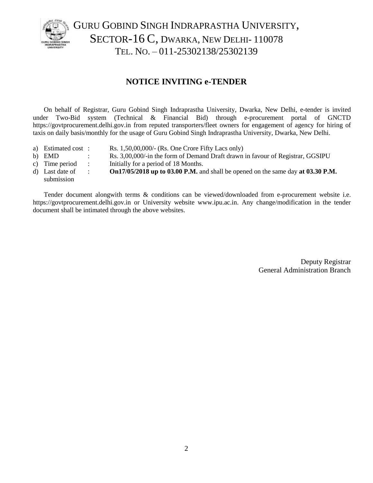

GURU GOBIND SINGH INDRAPRASTHA UNIVERSITY, SECTOR-16 C, DWARKA, NEW DELHI-110078 TEL. NO. – 011-25302138/25302139

## **NOTICE INVITING e-TENDER**

On behalf of Registrar, Guru Gobind Singh Indraprastha University, Dwarka, New Delhi, e-tender is invited under Two-Bid system (Technical & Financial Bid) through e-procurement portal of GNCTD https://govtprocurement.delhi.gov.in from reputed transporters/fleet owners for engagement of agency for hiring of taxis on daily basis/monthly for the usage of Guru Gobind Singh Indraprastha University, Dwarka, New Delhi.

- a) Estimated cost : Rs. 1,50,00,000/- (Rs. One Crore Fifty Lacs only)
- b) EMD : Rs. 3,00,000/-in the form of Demand Draft drawn in favour of Registrar, GGSIPU
- c) Time period : Initially for a period of 18 Months.
- d) Last date of : **On17/05/2018 up to 03.00 P.M.** and shall be opened on the same day **at 03.30 P.M.** submission

Tender document alongwith terms & conditions can be viewed/downloaded from e-procurement website i.e. https://govtprocurement.delhi.gov.in or University website [www.ipu.ac.in.](http://www.ipu.ac.in/) Any change/modification in the tender document shall be intimated through the above websites.

> Deputy Registrar General Administration Branch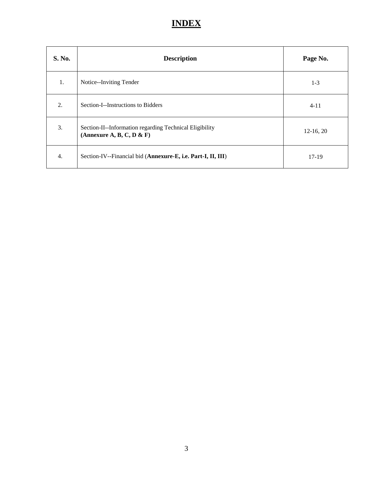## **INDEX**

| S. No. | <b>Description</b>                                                                   | Page No.    |
|--------|--------------------------------------------------------------------------------------|-------------|
| 1.     | Notice--Inviting Tender                                                              | $1-3$       |
| 2.     | Section-I--Instructions to Bidders                                                   | $4 - 11$    |
| 3.     | Section-II--Information regarding Technical Eligibility<br>(Annexure A, B, C, D & F) | $12-16, 20$ |
| 4.     | Section-IV--Financial bid (Annexure-E, i.e. Part-I, II, III)                         | $17-19$     |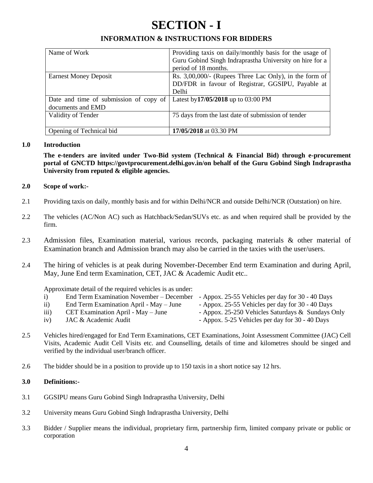## **SECTION - I**

## **INFORMATION & INSTRUCTIONS FOR BIDDERS**

| Name of Work                           | Providing taxis on daily/monthly basis for the usage of   |
|----------------------------------------|-----------------------------------------------------------|
|                                        | Guru Gobind Singh Indraprastha University on hire for a   |
|                                        | period of 18 months.                                      |
| <b>Earnest Money Deposit</b>           | Rs. $3,00,000/$ - (Rupees Three Lac Only), in the form of |
|                                        | DD/FDR in favour of Registrar, GGSIPU, Payable at         |
|                                        | Delhi                                                     |
| Date and time of submission of copy of | Latest by 17/05/2018 up to 03:00 PM                       |
| documents and EMD                      |                                                           |
| Validity of Tender                     | 75 days from the last date of submission of tender        |
|                                        |                                                           |
| Opening of Technical bid               | 17/05/2018 at 03.30 PM                                    |

#### **1.0 Introduction**

**The e-tenders are invited under Two-Bid system (Technical & Financial Bid) through e-procurement portal of GNCTD https://govtprocurement.delhi.gov.in/on behalf of the Guru Gobind Singh Indraprastha University from reputed & eligible agencies.**

#### **2.0 Scope of work:-**

- 2.1 Providing taxis on daily, monthly basis and for within Delhi/NCR and outside Delhi/NCR (Outstation) on hire.
- 2.2 The vehicles (AC/Non AC) such as Hatchback/Sedan/SUVs etc. as and when required shall be provided by the firm.
- 2.3 Admission files, Examination material, various records, packaging materials & other material of Examination branch and Admission branch may also be carried in the taxies with the user/users.
- 2.4 The hiring of vehicles is at peak during November-December End term Examination and during April, May, June End term Examination, CET, JAC & Academic Audit etc..

Approximate detail of the required vehicles is as under:

- i) End Term Examination November December Appox. 25-55 Vehicles per day for 30 40 Days ii) End Term Examination April - May – June - Appox. 25-55 Vehicles per day for 30 - 40 Days iii) CET Examination April - May – June - Appox. 25-250 Vehicles Saturdays & Sundays Only iv) JAC & Academic Audit  $\blacksquare$  - Appox. 5-25 Vehicles per day for 30 - 40 Days
- 2.5 Vehicles hired/engaged for End Term Examinations, CET Examinations, Joint Assessment Committee (JAC) Cell Visits, Academic Audit Cell Visits etc. and Counselling, details of time and kilometres should be singed and verified by the individual user/branch officer.
- 2.6 The bidder should be in a position to provide up to 150 taxis in a short notice say 12 hrs.

#### **3.0 Definitions:-**

- 3.1 GGSIPU means Guru Gobind Singh Indraprastha University, Delhi
- 3.2 University means Guru Gobind Singh Indraprastha University, Delhi
- 3.3 Bidder / Supplier means the individual, proprietary firm, partnership firm, limited company private or public or corporation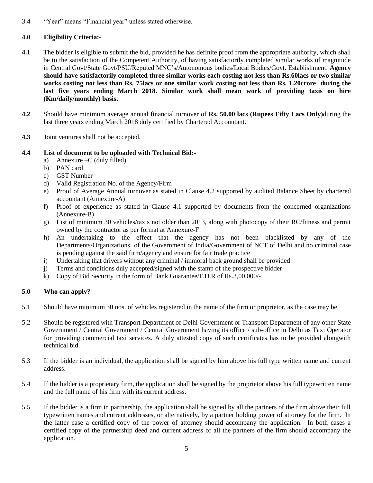3.4 "Year" means "Financial year" unless stated otherwise.

## **4.0 Eligibility Criteria:-**

- **4.1** The bidder is eligible to submit the bid, provided he has definite proof from the appropriate authority, which shall be to the satisfaction of the Competent Authority, of having satisfactorily completed similar works of magnitude in Central Govt/State Govt/PSU/Reputed MNC's/Autonomous bodies/Local Bodies/Govt. Establishment. **Agency should have satisfactorily completed three similar works each costing not less than Rs.60lacs or two similar works costing not less than Rs. 75lacs or one similar work costing not less than Rs. 1.20crore during the last five years ending March 2018. Similar work shall mean work of providing taxis on hire (Km/daily/monthly) basis.**
- **4.2** Should have minimum average annual financial turnover of **Rs. 50.00 lacs (Rupees Fifty Lacs Only)**during the last three years ending March 2018 duly certified by Chartered Accountant.
- **4.3** Joint ventures shall not be accepted.

#### **4.4 List of document to be uploaded with Technical Bid:-**

- a) Annexure –C (duly filled)
- b) PAN card
- c) GST Number
- d) Valid Registration No. of the Agency/Firm
- e) Proof of Average Annual turnover as stated in Clause 4.2 supported by audited Balance Sheet by chartered accountant (Annexure-A)
- f) Proof of experience as stated in Clause 4.1 supported by documents from the concerned organizations (Annexure-B)
- g) List of minimum 30 vehicles/taxis not older than 2013, along with photocopy of their RC/fitness and permit owned by the contractor as per format at Annexure-F
- h) An undertaking to the effect that the agency has not been blacklisted by any of the Departments/Organizations of the Government of India/Government of NCT of Delhi and no criminal case is pending against the said firm/agency and ensure for fair trade practice
- i) Undertaking that drivers without any criminal / immoral back ground shall be provided
- j) Terms and conditions duly accepted/signed with the stamp of the prospective bidder
- k) Copy of Bid Security in the form of Bank Guarantee/F.D.R of Rs.3,00,000/-

#### **5.0 Who can apply?**

- 5.1 Should have minimum 30 nos. of vehicles registered in the name of the firm or proprietor, as the case may be.
- 5.2 Should be registered with Transport Department of Delhi Government or Transport Department of any other State Government / Central Government / Central Government having its office / sub-office in Delhi as Taxi Operator for providing commercial taxi services. A duly attested copy of such certificates has to be provided alongwith technical bid.
- 5.3 If the bidder is an individual, the application shall be signed by him above his full type written name and current address.
- 5.4 If the bidder is a proprietary firm, the application shall be signed by the proprietor above his full typewritten name and the full name of his firm with its current address.
- 5.5 If the bidder is a firm in partnership, the application shall be signed by all the partners of the firm above their full typewritten names and current addresses, or alternatively, by a partner holding power of attorney for the firm. In the latter case a certified copy of the power of attorney should accompany the application. In both cases a certified copy of the partnership deed and current address of all the partners of the firm should accompany the application.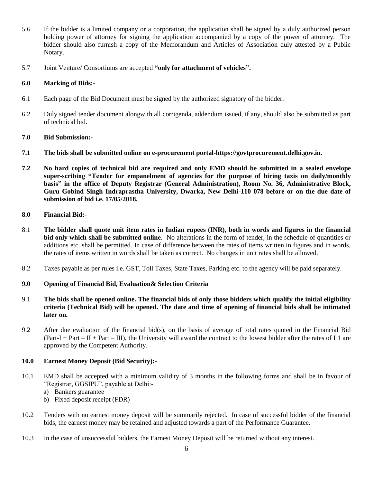- 5.6 If the bidder is a limited company or a corporation, the application shall be signed by a duly authorized person holding power of attorney for signing the application accompanied by a copy of the power of attorney. The bidder should also furnish a copy of the Memorandum and Articles of Association duly attested by a Public Notary.
- 5.7 Joint Venture/ Consortiums are accepted **"only for attachment of vehicles".**

#### **6.0 Marking of Bids:-**

- 6.1 Each page of the Bid Document must be signed by the authorized signatory of the bidder.
- 6.2 Duly signed tender document alongwith all corrigenda, addendum issued, if any, should also be submitted as part of technical bid.

#### **7.0 Bid Submission:-**

- **7.1 The bids shall be submitted online on e-procurement portal-https://govtprocurement.delhi.gov.in.**
- **7.2 No hard copies of technical bid are required and only EMD should be submitted in a sealed envelope super-scribing "Tender for empanelment of agencies for the purpose of hiring taxis on daily/monthly basis" in the office of Deputy Registrar (General Administration), Room No. 36, Administrative Block, Guru Gobind Singh Indraprastha University, Dwarka, New Delhi-110 078 before or on the due date of submission of bid i.e. 17/05/2018.**
- **8.0 Financial Bid:-**
- 8.1 **The bidder shall quote unit item rates in Indian rupees (INR), both in words and figures in the financial bid only which shall be submitted online**. No alterations in the form of tender, in the schedule of quantities or additions etc. shall be permitted. In case of difference between the rates of items written in figures and in words, the rates of items written in words shall be taken as correct. No changes in unit rates shall be allowed.
- 8.2 Taxes payable as per rules i.e. GST, Toll Taxes, State Taxes, Parking etc. to the agency will be paid separately.

#### **9.0 Opening of Financial Bid, Evaluation& Selection Criteria**

- 9.1 **The bids shall be opened online. The financial bids of only those bidders which qualify the initial eligibility criteria (Technical Bid) will be opened. The date and time of opening of financial bids shall be intimated later on.**
- 9.2 After due evaluation of the financial bid(s), on the basis of average of total rates quoted in the Financial Bid  $(Part-I + Part – II + Part – III)$ , the University will award the contract to the lowest bidder after the rates of L1 are approved by the Competent Authority.

#### **10.0 Earnest Money Deposit (Bid Security):-**

- 10.1 EMD shall be accepted with a minimum validity of 3 months in the following forms and shall be in favour of "Registrar, GGSIPU", payable at Delhi:
	- a) Bankers guarantee
	- b) Fixed deposit receipt (FDR)
- 10.2 Tenders with no earnest money deposit will be summarily rejected. In case of successful bidder of the financial bids, the earnest money may be retained and adjusted towards a part of the Performance Guarantee.
- 10.3 In the case of unsuccessful bidders, the Earnest Money Deposit will be returned without any interest.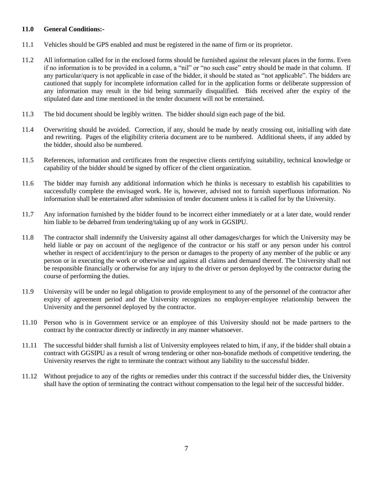#### **11.0 General Conditions:-**

- 11.1 Vehicles should be GPS enabled and must be registered in the name of firm or its proprietor.
- 11.2 All information called for in the enclosed forms should be furnished against the relevant places in the forms. Even if no information is to be provided in a column, a "nil" or "no such case" entry should be made in that column. If any particular/query is not applicable in case of the bidder, it should be stated as "not applicable". The bidders are cautioned that supply for incomplete information called for in the application forms or deliberate suppression of any information may result in the bid being summarily disqualified. Bids received after the expiry of the stipulated date and time mentioned in the tender document will not be entertained.
- 11.3 The bid document should be legibly written. The bidder should sign each page of the bid.
- 11.4 Overwriting should be avoided. Correction, if any, should be made by neatly crossing out, initialling with date and rewriting. Pages of the eligibility criteria document are to be numbered. Additional sheets, if any added by the bidder, should also be numbered.
- 11.5 References, information and certificates from the respective clients certifying suitability, technical knowledge or capability of the bidder should be signed by officer of the client organization.
- 11.6 The bidder may furnish any additional information which he thinks is necessary to establish his capabilities to successfully complete the envisaged work. He is, however, advised not to furnish superfluous information. No information shall be entertained after submission of tender document unless it is called for by the University.
- 11.7 Any information furnished by the bidder found to be incorrect either immediately or at a later date, would render him liable to be debarred from tendering/taking up of any work in GGSIPU.
- 11.8 The contractor shall indemnify the University against all other damages/charges for which the University may be held liable or pay on account of the negligence of the contractor or his staff or any person under his control whether in respect of accident/injury to the person or damages to the property of any member of the public or any person or in executing the work or otherwise and against all claims and demand thereof. The University shall not be responsible financially or otherwise for any injury to the driver or person deployed by the contractor during the course of performing the duties.
- 11.9 University will be under no legal obligation to provide employment to any of the personnel of the contractor after expiry of agreement period and the University recognizes no employer-employee relationship between the University and the personnel deployed by the contractor.
- 11.10 Person who is in Government service or an employee of this University should not be made partners to the contract by the contractor directly or indirectly in any manner whatsoever.
- 11.11 The successful bidder shall furnish a list of University employees related to him, if any, if the bidder shall obtain a contract with GGSIPU as a result of wrong tendering or other non-bonafide methods of competitive tendering, the University reserves the right to terminate the contract without any liability to the successful bidder.
- 11.12 Without prejudice to any of the rights or remedies under this contract if the successful bidder dies, the University shall have the option of terminating the contract without compensation to the legal heir of the successful bidder.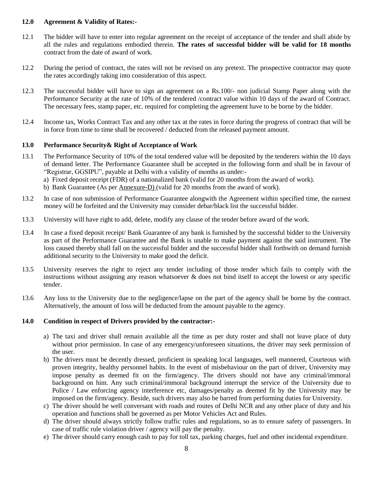#### **12.0 Agreement & Validity of Rates:-**

- 12.1 The bidder will have to enter into regular agreement on the receipt of acceptance of the tender and shall abide by all the rules and regulations embodied therein. **The rates of successful bidder will be valid for 18 months** contract from the date of award of work.
- 12.2 During the period of contract, the rates will not be revised on any pretext. The prospective contractor may quote the rates accordingly taking into consideration of this aspect.
- 12.3 The successful bidder will have to sign an agreement on a Rs.100/- non judicial Stamp Paper along with the Performance Security at the rate of 10% of the tendered /contract value within 10 days of the award of Contract. The necessary fees, stamp paper, etc. required for completing the agreement have to be borne by the bidder.
- 12.4 Income tax, Works Contract Tax and any other tax at the rates in force during the progress of contract that will be in force from time to time shall be recovered / deducted from the released payment amount.

#### **13.0 Performance Security& Right of Acceptance of Work**

- 13.1 The Performance Security of 10% of the total tendered value will be deposited by the tenderers within the 10 days of demand letter. The Performance Guarantee shall be accepted in the following form and shall be in favour of "Registrar, GGSIPU", payable at Delhi with a validity of months as under:
	- a) Fixed deposit receipt (FDR) of a nationalized bank (valid for 20 months from the award of work).
	- b) Bank Guarantee (As per Annexure-D) (valid for 20 months from the award of work).
- 13.2 In case of non submission of Performance Guarantee alongwith the Agreement within specified time, the earnest money will be forfeited and the University may consider debar/black list the successful bidder.
- 13.3 University will have right to add, delete, modify any clause of the tender before award of the work.
- 13.4 In case a fixed deposit receipt/ Bank Guarantee of any bank is furnished by the successful bidder to the University as part of the Performance Guarantee and the Bank is unable to make payment against the said instrument. The loss caused thereby shall fall on the successful bidder and the successful bidder shall forthwith on demand furnish additional security to the University to make good the deficit.
- 13.5 University reserves the right to reject any tender including of those tender which fails to comply with the instructions without assigning any reason whatsoever & does not bind itself to accept the lowest or any specific tender.
- 13.6 Any loss to the University due to the negligence/lapse on the part of the agency shall be borne by the contract. Alternatively, the amount of loss will be deducted from the amount payable to the agency.

#### **14.0 Condition in respect of Drivers provided by the contractor:-**

- a) The taxi and driver shall remain available all the time as per duty roster and shall not leave place of duty without prior permission. In case of any emergency/unforeseen situations, the driver may seek permission of the user.
- b) The drivers must be decently dressed, proficient in speaking local languages, well mannered, Courteous with proven integrity, healthy personnel habits. In the event of misbehaviour on the part of driver, University may impose penalty as deemed fit on the firm/agency. The drivers should not have any criminal/immoral background on him. Any such criminal/immoral background interrupt the service of the University due to Police / Law enforcing agency interference etc, damages/penalty as deemed fit by the University may be imposed on the firm/agency. Beside, such drivers may also be barred from performing duties for University.
- c) The driver should be well conversant with roads and routes of Delhi NCR and any other place of duty and his operation and functions shall be governed as per Motor Vehicles Act and Rules.
- d) The driver should always strictly follow traffic rules and regulations, so as to ensure safety of passengers. In case of traffic rule violation driver / agency will pay the penalty.
- e) The driver should carry enough cash to pay for toll tax, parking charges, fuel and other incidental expenditure.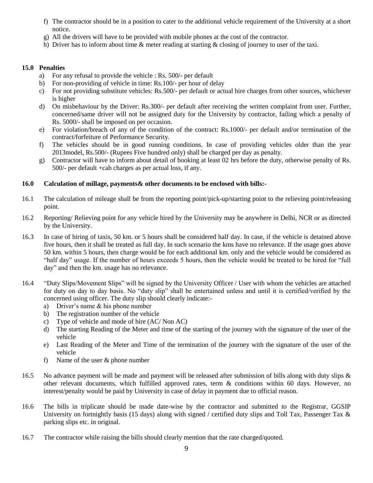- f) The contractor should be in a position to cater to the additional vehicle requirement of the University at a short notice.
- g) All the drivers will have to be provided with mobile phones at the cost of the contractor.
- h) Driver has to inform about time & meter reading at starting & closing of journey to user of the taxi.

#### **15.0 Penalties**

- a) For any refusal to provide the vehicle : Rs. 500/- per default
- b) For non-providing of vehicle in time: Rs.100/- per hour of delay
- c) For not providing substitute vehicles: Rs.500/- per default or actual hire charges from other sources, whichever is higher
- d) On misbehaviour by the Driver: Rs.300/- per default after receiving the written complaint from user. Further, concerned/same driver will not be assigned duty for the University by contractor, failing which a penalty of Rs. 5000/- shall be imposed on per occasion.
- e) For violation/breach of any of the condition of the contract: Rs.1000/- per default and/or termination of the contract/forfeiture of Performance Security.
- f) The vehicles should be in good running conditions. In case of providing vehicles older than the year 2013model, Rs.500/- (Rupees Five hundred only) shall be charged per day as penalty.
- g) Contractor will have to inform about detail of booking at least 02 hrs before the duty, otherwise penalty of Rs. 500/- per default +cab charges as per actual loss, if any.

#### **16.0 Calculation of millage, payments& other documents to be enclosed with bills:-**

- 16.1 The calculation of mileage shall be from the reporting point/pick-up/starting point to the relieving point/releasing point.
- 16.2 Reporting/ Relieving point for any vehicle hired by the University may be anywhere in Delhi, NCR or as directed by the University.
- 16.3 In case of hiring of taxis, 50 km. or 5 hours shall be considered half day. In case, if the vehicle is detained above five hours, then it shall be treated as full day. In such scenario the kms have no relevance. If the usage goes above 50 km. within 5 hours, then charge would be for each additional km. only and the vehicle would be considered as "half day" usage. If the number of hours exceeds 5 hours, then the vehicle would be treated to be hired for "full day" and then the km. usage has no relevance.
- 16.4 "Duty Slips/Movement Slips" will be signed by the University Officer / User with whom the vehicles are attached for duty on day to day basis. No "duty slip" shall be entertained unless and until it is certified/verified by the concerned using officer. The duty slip should clearly indicate:
	- a) Driver's name & his phone number
	- b) The registration number of the vehicle
	- c) Type of vehicle and mode of hire (AC/ Non AC)
	- d) The starting Reading of the Meter and time of the starting of the journey with the signature of the user of the vehicle
	- e) Last Reading of the Meter and Time of the termination of the journey with the signature of the user of the vehicle
	- f) Name of the user & phone number
- 16.5 No advance payment will be made and payment will be released after submission of bills along with duty slips  $\&$ other relevant documents, which fulfilled approved rates, term & conditions within 60 days. However, no interest/penalty would be paid by University in case of delay in payment due to official reason.
- 16.6 The bills in triplicate should be made date-wise by the contractor and submitted to the Registrar, GGSIP University on fortnightly basis (15 days) along with signed / certified duty slips and Toll Tax, Passenger Tax  $\&$ parking slips etc. in original.
- 16.7 The contractor while raising the bills should clearly mention that the rate charged/quoted.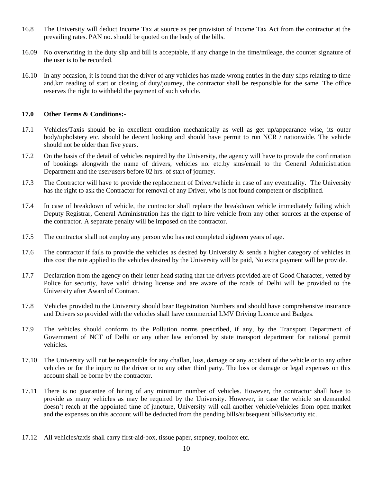- 16.8 The University will deduct Income Tax at source as per provision of Income Tax Act from the contractor at the prevailing rates. PAN no. should be quoted on the body of the bills.
- 16.09 No overwriting in the duty slip and bill is acceptable, if any change in the time/mileage, the counter signature of the user is to be recorded.
- 16.10 In any occasion, it is found that the driver of any vehicles has made wrong entries in the duty slips relating to time and.km reading of start or closing of duty/journey, the contractor shall be responsible for the same. The office reserves the right to withheld the payment of such vehicle.

#### **17.0 Other Terms & Conditions:-**

- 17.1 Vehicles/Taxis should be in excellent condition mechanically as well as get up/appearance wise, its outer body/upholstery etc. should be decent looking and should have permit to run NCR / nationwide. The vehicle should not be older than five years.
- 17.2 On the basis of the detail of vehicles required by the University, the agency will have to provide the confirmation of bookings alongwith the name of drivers, vehicles no. etc.by sms/email to the General Administration Department and the user/users before 02 hrs. of start of journey.
- 17.3 The Contractor will have to provide the replacement of Driver/vehicle in case of any eventuality. The University has the right to ask the Contractor for removal of any Driver, who is not found competent or disciplined.
- 17.4 In case of breakdown of vehicle, the contractor shall replace the breakdown vehicle immediately failing which Deputy Registrar, General Administration has the right to hire vehicle from any other sources at the expense of the contractor. A separate penalty will be imposed on the contractor.
- 17.5 The contractor shall not employ any person who has not completed eighteen years of age.
- 17.6 The contractor if fails to provide the vehicles as desired by University  $\&$  sends a higher category of vehicles in this cost the rate applied to the vehicles desired by the University will be paid, No extra payment will be provide.
- 17.7 Declaration from the agency on their letter head stating that the drivers provided are of Good Character, vetted by Police for security, have valid driving license and are aware of the roads of Delhi will be provided to the University after Award of Contract.
- 17.8 Vehicles provided to the University should bear Registration Numbers and should have comprehensive insurance and Drivers so provided with the vehicles shall have commercial LMV Driving Licence and Badges.
- 17.9 The vehicles should conform to the Pollution norms prescribed, if any, by the Transport Department of Government of NCT of Delhi or any other law enforced by state transport department for national permit vehicles.
- 17.10 The University will not be responsible for any challan, loss, damage or any accident of the vehicle or to any other vehicles or for the injury to the driver or to any other third party. The loss or damage or legal expenses on this account shall be borne by the contractor.
- 17.11 There is no guarantee of hiring of any minimum number of vehicles. However, the contractor shall have to provide as many vehicles as may be required by the University. However, in case the vehicle so demanded doesn't reach at the appointed time of juncture, University will call another vehicle/vehicles from open market and the expenses on this account will be deducted from the pending bills/subsequent bills/security etc.
- 17.12 All vehicles/taxis shall carry first-aid-box, tissue paper, stepney, toolbox etc.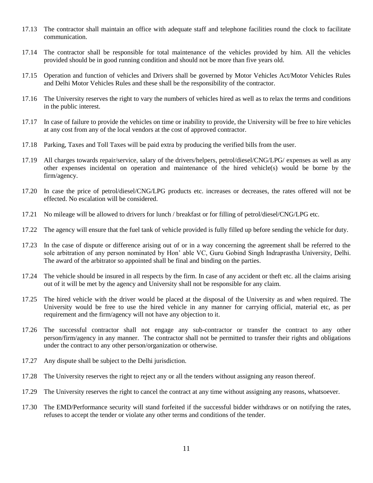- 17.13 The contractor shall maintain an office with adequate staff and telephone facilities round the clock to facilitate communication.
- 17.14 The contractor shall be responsible for total maintenance of the vehicles provided by him. All the vehicles provided should be in good running condition and should not be more than five years old.
- 17.15 Operation and function of vehicles and Drivers shall be governed by Motor Vehicles Act/Motor Vehicles Rules and Delhi Motor Vehicles Rules and these shall be the responsibility of the contractor.
- 17.16 The University reserves the right to vary the numbers of vehicles hired as well as to relax the terms and conditions in the public interest.
- 17.17 In case of failure to provide the vehicles on time or inability to provide, the University will be free to hire vehicles at any cost from any of the local vendors at the cost of approved contractor.
- 17.18 Parking, Taxes and Toll Taxes will be paid extra by producing the verified bills from the user.
- 17.19 All charges towards repair/service, salary of the drivers/helpers, petrol/diesel/CNG/LPG/ expenses as well as any other expenses incidental on operation and maintenance of the hired vehicle(s) would be borne by the firm/agency.
- 17.20 In case the price of petrol/diesel/CNG/LPG products etc. increases or decreases, the rates offered will not be effected. No escalation will be considered.
- 17.21 No mileage will be allowed to drivers for lunch / breakfast or for filling of petrol/diesel/CNG/LPG etc.
- 17.22 The agency will ensure that the fuel tank of vehicle provided is fully filled up before sending the vehicle for duty.
- 17.23 In the case of dispute or difference arising out of or in a way concerning the agreement shall be referred to the sole arbitration of any person nominated by Hon' able VC, Guru Gobind Singh Indraprastha University, Delhi. The award of the arbitrator so appointed shall be final and binding on the parties.
- 17.24 The vehicle should be insured in all respects by the firm. In case of any accident or theft etc. all the claims arising out of it will be met by the agency and University shall not be responsible for any claim.
- 17.25 The hired vehicle with the driver would be placed at the disposal of the University as and when required. The University would be free to use the hired vehicle in any manner for carrying official, material etc, as per requirement and the firm/agency will not have any objection to it.
- 17.26 The successful contractor shall not engage any sub-contractor or transfer the contract to any other person/firm/agency in any manner. The contractor shall not be permitted to transfer their rights and obligations under the contract to any other person/organization or otherwise.
- 17.27 Any dispute shall be subject to the Delhi jurisdiction.
- 17.28 The University reserves the right to reject any or all the tenders without assigning any reason thereof.
- 17.29 The University reserves the right to cancel the contract at any time without assigning any reasons, whatsoever.
- 17.30 The EMD/Performance security will stand forfeited if the successful bidder withdraws or on notifying the rates, refuses to accept the tender or violate any other terms and conditions of the tender.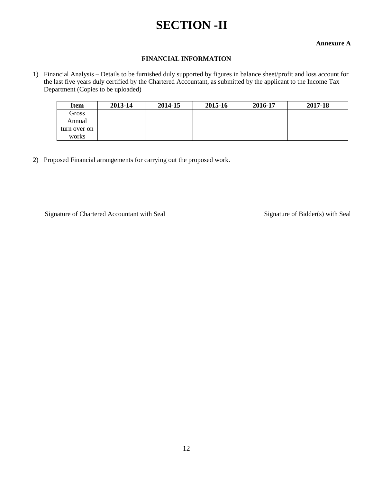## **SECTION -II**

#### **Annexure A**

#### **FINANCIAL INFORMATION**

1) Financial Analysis – Details to be furnished duly supported by figures in balance sheet/profit and loss account for the last five years duly certified by the Chartered Accountant, as submitted by the applicant to the Income Tax Department (Copies to be uploaded)

| <b>Item</b>  | 2013-14 | 2014-15 | 2015-16 | 2016-17 | 2017-18 |
|--------------|---------|---------|---------|---------|---------|
| Gross        |         |         |         |         |         |
| Annual       |         |         |         |         |         |
| turn over on |         |         |         |         |         |
| works        |         |         |         |         |         |

2) Proposed Financial arrangements for carrying out the proposed work.

Signature of Chartered Accountant with Seal Signature of Bidder(s) with Seal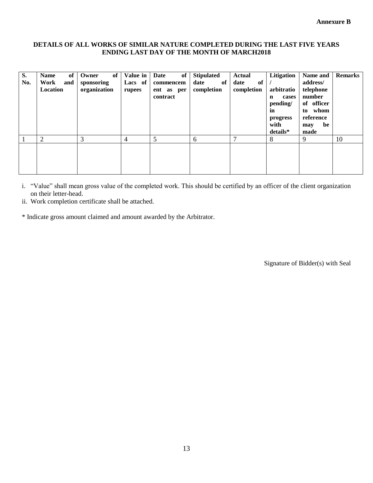#### **DETAILS OF ALL WORKS OF SIMILAR NATURE COMPLETED DURING THE LAST FIVE YEARS ENDING LAST DAY OF THE MONTH OF MARCH2018**

| S.<br>No. | of<br><b>Name</b><br>Work<br>and<br>Location | of<br>Owner<br>sponsoring<br>organization | Value in<br>Lacs of<br>rupees | of<br>Date<br>commencem<br>ent as per<br>contract | <b>Stipulated</b><br>date<br>of<br>completion | Actual<br>of<br>date<br>completion | Litigation<br>arbitratio<br>cases<br>$\mathbf n$<br>pending/<br>in<br>progress<br>with<br>details* | Name and<br>address/<br>telephone<br>number<br>of officer<br>whom<br>to<br>reference<br>be<br>may<br>made | <b>Remarks</b> |
|-----------|----------------------------------------------|-------------------------------------------|-------------------------------|---------------------------------------------------|-----------------------------------------------|------------------------------------|----------------------------------------------------------------------------------------------------|-----------------------------------------------------------------------------------------------------------|----------------|
|           | 2                                            | 3                                         | 4                             | 5                                                 | 6                                             | $\mathbf{r}$                       | 8                                                                                                  | 9                                                                                                         | 10             |
|           |                                              |                                           |                               |                                                   |                                               |                                    |                                                                                                    |                                                                                                           |                |

i. "Value" shall mean gross value of the completed work. This should be certified by an officer of the client organization on their letter-head.

ii. Work completion certificate shall be attached.

\* Indicate gross amount claimed and amount awarded by the Arbitrator.

Signature of Bidder(s) with Seal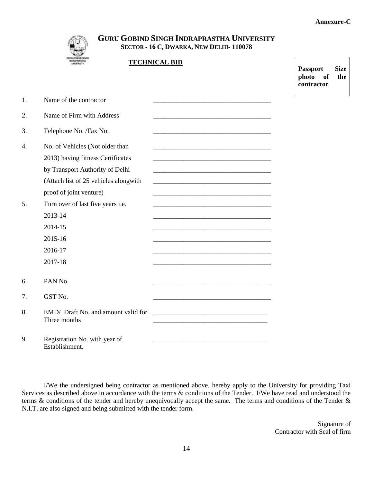**Passport Size photo of the contractor** 



Establishment.

## **GURU GOBIND SINGH INDRAPRASTHA UNIVERSITY SECTOR - 16 C, DWARKA, NEW DELHI- 110078**

|    |                                                     | <b>TECHNICAL BID</b>                                           |
|----|-----------------------------------------------------|----------------------------------------------------------------|
|    |                                                     |                                                                |
| 1. | Name of the contractor                              |                                                                |
| 2. | Name of Firm with Address                           |                                                                |
| 3. | Telephone No. /Fax No.                              |                                                                |
| 4. | No. of Vehicles (Not older than                     |                                                                |
|    | 2013) having fitness Certificates                   |                                                                |
|    | by Transport Authority of Delhi                     |                                                                |
|    | (Attach list of 25 vehicles alongwith               |                                                                |
|    | proof of joint venture)                             |                                                                |
| 5. | Turn over of last five years i.e.                   |                                                                |
|    | 2013-14                                             |                                                                |
|    | 2014-15                                             |                                                                |
|    | 2015-16                                             |                                                                |
|    | 2016-17                                             |                                                                |
|    | 2017-18                                             |                                                                |
| 6. | PAN No.                                             |                                                                |
| 7. | GST No.                                             |                                                                |
| 8. | EMD/ Draft No. and amount valid for<br>Three months | <u> 1989 - Johann Barbara, margaret eta idazlea (h. 1989).</u> |
| 9. | Registration No. with year of                       |                                                                |

I/We the undersigned being contractor as mentioned above, hereby apply to the University for providing Taxi Services as described above in accordance with the terms  $\&$  conditions of the Tender. I/We have read and understood the terms & conditions of the tender and hereby unequivocally accept the same. The terms and conditions of the Tender & N.I.T. are also signed and being submitted with the tender form.

> Signature of Contractor with Seal of firm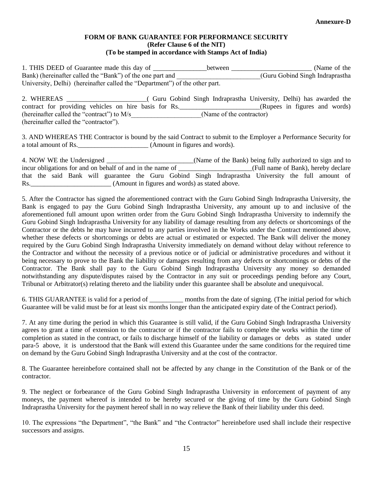#### **FORM OF BANK GUARANTEE FOR PERFORMANCE SECURITY (Refer Clause 6 of the NIT) (To be stamped in accordance with Stamps Act of India)**

1. THIS DEED of Guarantee made this day of \_\_\_\_\_\_\_\_\_\_\_\_\_\_\_\_between \_\_\_\_\_\_\_\_\_\_\_\_\_\_\_\_\_\_\_\_\_\_\_\_\_\_\_\_ (Name of the Bank) (hereinafter called the "Bank") of the one part and  $(Guru Gobind Singh Indraprashla)$ University, Delhi) (hereinafter called the "Department") of the other part.

| 2. WHEREAS                                            |  | Guru Gobind Singh Indraprastha University, Delhi) has awarded the |                               |  |  |
|-------------------------------------------------------|--|-------------------------------------------------------------------|-------------------------------|--|--|
| contract for providing vehicles on hire basis for Rs. |  |                                                                   | (Rupees in figures and words) |  |  |
| (hereinafter called the "contract") to M/s            |  | (Name of the contractor)                                          |                               |  |  |
| (hereinafter called the "contractor").                |  |                                                                   |                               |  |  |

3. AND WHEREAS THE Contractor is bound by the said Contract to submit to the Employer a Performance Security for a total amount of Rs. \_\_\_\_\_\_\_\_\_\_\_\_\_\_\_\_\_\_\_\_\_\_ (Amount in figures and words).

|                                                           |  |  | 4. NOW WE the Undersigned |  |  |  |  | (Name of the Bank) being fully authorized to sign and to                                           |  |  |  |
|-----------------------------------------------------------|--|--|---------------------------|--|--|--|--|----------------------------------------------------------------------------------------------------|--|--|--|
| incur obligations for and on behalf of and in the name of |  |  |                           |  |  |  |  | (Full name of Bank), hereby declare                                                                |  |  |  |
|                                                           |  |  |                           |  |  |  |  | that the said Bank will guarantee the Guru Gobind Singh Indraprastha University the full amount of |  |  |  |
| Rs.                                                       |  |  |                           |  |  |  |  | (Amount in figures and words) as stated above.                                                     |  |  |  |

5. After the Contractor has signed the aforementioned contract with the Guru Gobind Singh Indraprastha University, the Bank is engaged to pay the Guru Gobind Singh Indraprastha University, any amount up to and inclusive of the aforementioned full amount upon written order from the Guru Gobind Singh Indraprastha University to indemnify the Guru Gobind Singh Indraprastha University for any liability of damage resulting from any defects or shortcomings of the Contractor or the debts he may have incurred to any parties involved in the Works under the Contract mentioned above, whether these defects or shortcomings or debts are actual or estimated or expected. The Bank will deliver the money required by the Guru Gobind Singh Indraprastha University immediately on demand without delay without reference to the Contractor and without the necessity of a previous notice or of judicial or administrative procedures and without it being necessary to prove to the Bank the liability or damages resulting from any defects or shortcomings or debts of the Contractor. The Bank shall pay to the Guru Gobind Singh Indraprastha University any money so demanded notwithstanding any dispute/disputes raised by the Contractor in any suit or proceedings pending before any Court, Tribunal or Arbitrator(s) relating thereto and the liability under this guarantee shall be absolute and unequivocal.

6. THIS GUARANTEE is valid for a period of \_\_\_\_\_\_\_\_\_\_ months from the date of signing. (The initial period for which Guarantee will be valid must be for at least six months longer than the anticipated expiry date of the Contract period).

7. At any time during the period in which this Guarantee is still valid, if the Guru Gobind Singh Indraprastha University agrees to grant a time of extension to the contractor or if the contractor fails to complete the works within the time of completion as stated in the contract, or fails to discharge himself of the liability or damages or debts as stated under para-5 above, it is understood that the Bank will extend this Guarantee under the same conditions for the required time on demand by the Guru Gobind Singh Indraprastha University and at the cost of the contractor.

8. The Guarantee hereinbefore contained shall not be affected by any change in the Constitution of the Bank or of the contractor.

9. The neglect or forbearance of the Guru Gobind Singh Indraprastha University in enforcement of payment of any moneys, the payment whereof is intended to be hereby secured or the giving of time by the Guru Gobind Singh Indraprastha University for the payment hereof shall in no way relieve the Bank of their liability under this deed.

10. The expressions "the Department", "the Bank" and "the Contractor" hereinbefore used shall include their respective successors and assigns.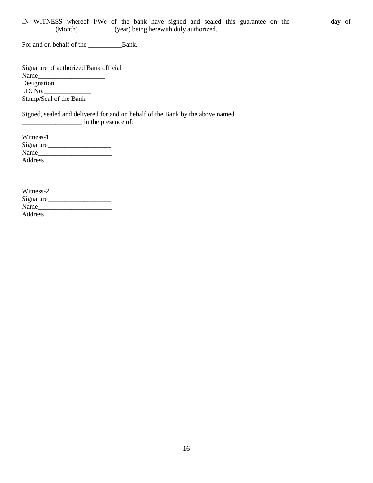IN WITNESS whereof I/We of the bank have signed and sealed this guarantee on the\_\_\_\_\_\_\_\_\_\_\_ day of \_\_\_\_\_\_\_\_\_\_(Month)\_\_\_\_\_\_\_\_\_\_\_(year) being herewith duly authorized.

For and on behalf of the \_\_\_\_\_\_\_\_\_\_Bank.

| Signature of authorized Bank official |  |
|---------------------------------------|--|
| Name                                  |  |
|                                       |  |
| I.D. No.                              |  |
| Stamp/Seal of the Bank.               |  |
|                                       |  |

Signed, sealed and delivered for and on behalf of the Bank by the above named \_\_\_\_\_\_\_\_\_\_\_\_\_\_\_\_\_\_ in the presence of:

| Witness-1. |  |
|------------|--|
| Signature  |  |
| Name       |  |
| Address    |  |

| Witness-2. |  |
|------------|--|
| Signature  |  |
| Name       |  |
| Address    |  |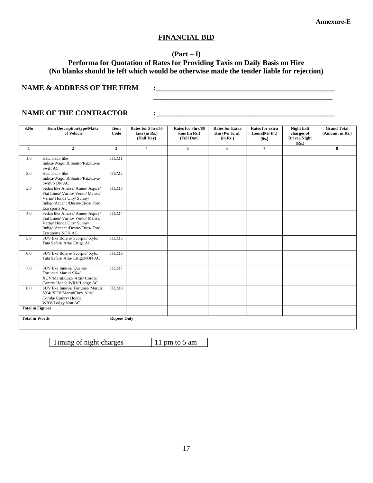#### **FINANCIAL BID**

#### **(Part – I)**

## **Performa for Quotation of Rates for Providing Taxis on Daily Basis on Hire (No blanks should be left which would be otherwise made the tender liable for rejection)**

**\_\_\_\_\_\_\_\_\_\_\_\_\_\_\_\_\_\_\_\_\_\_\_\_\_\_\_\_\_\_\_\_\_\_\_\_\_\_\_\_\_\_\_\_\_\_\_\_\_**

#### **NAME & ADDRESS OF THE FIRM**  $\qquad$  **:**

#### **NAME OF THE CONTRACTOR**  $\qquad \qquad : \qquad$

| S.No                    | <b>Item Description/type/Make</b><br>of Vehicle                                                                                                           | Item<br>Code       | Rates for 5 hrs/50<br>$kms$ (in Rs.)<br>(Half Day) | Rates for 8hrs/80<br>kms (in Rs.)<br>(Full Day) | <b>Rates for Extra</b><br>Km (Per Km).<br>(in Rs.) | Rates for extra<br>Hours(Per hr.)<br>(Rs.) | Night halt<br>charges of<br>Driver/Night<br>(Rs.) | <b>Grand Total</b><br>(Amount in Rs.) |
|-------------------------|-----------------------------------------------------------------------------------------------------------------------------------------------------------|--------------------|----------------------------------------------------|-------------------------------------------------|----------------------------------------------------|--------------------------------------------|---------------------------------------------------|---------------------------------------|
| $\mathbf{1}$            | $\overline{2}$                                                                                                                                            | $\mathbf{3}$       | $\overline{\mathbf{4}}$                            | 5                                               | 6                                                  | $\overline{7}$                             |                                                   | 8                                     |
| 1.0                     | Hatchback like<br>Indica/WagonR/Santro/Ritz/Liva/<br>Swift AC                                                                                             | ITEM1              |                                                    |                                                 |                                                    |                                            |                                                   |                                       |
| 2.0                     | Hatchback like<br>Indica/WagonR/Santro/Ritz/Liva/<br>Swift NON AC                                                                                         | ITEM2              |                                                    |                                                 |                                                    |                                            |                                                   |                                       |
| 3.0                     | Sedan like Amaze/ Ameo/ Aspire/<br>Fiat Linea/ Varito/ Vento/ Manza/<br>Verna/Honda City/Sunny/<br>Indigo/Accent /Desire/Etios/ Ford<br>Eco sports AC     | ITEM3              |                                                    |                                                 |                                                    |                                            |                                                   |                                       |
| 4.0                     | Sedan like Amaze/ Ameo/ Aspire/<br>Fiat Linea/ Varito/ Vento/ Manza/<br>Verna/Honda City/Sunny/<br>Indigo/Accent /Desire/Etios/ Ford<br>Eco sports NON AC | ITEM4              |                                                    |                                                 |                                                    |                                            |                                                   |                                       |
| 5.0                     | SUV like Bolero/ Scorpio/ Xylo/<br>Tata Safari/ Aria/ Ertiga AC                                                                                           | ITEM5              |                                                    |                                                 |                                                    |                                            |                                                   |                                       |
| 6.0                     | SUV like Bolero/ Scorpio/ Xylo/<br>Tata Safari/ Aria/ ErtigaNON AC                                                                                        | ITEM6              |                                                    |                                                 |                                                    |                                            |                                                   |                                       |
| 7.0                     | SUV like Innova/ Quanto/<br>Fortuner/ Maruti SX4/<br>XUV/MarutiCiaz/ Altis/ Corola/<br>Camry/Honda WRV/Lodgy AC                                           | ITEM7              |                                                    |                                                 |                                                    |                                            |                                                   |                                       |
| 8.0                     | SUV like Innova/ Fortuner/ Maruti<br>SX4/ XUV/MarutiCiaz/ Altis/<br>Corola/ Camry/ Honda<br>WRV/Lodgy Non AC                                              | ITEM8              |                                                    |                                                 |                                                    |                                            |                                                   |                                       |
| <b>Total in Figures</b> |                                                                                                                                                           |                    |                                                    |                                                 |                                                    |                                            |                                                   |                                       |
| <b>Total in Words</b>   |                                                                                                                                                           | <b>Rupees Only</b> |                                                    |                                                 |                                                    |                                            |                                                   |                                       |

Timing of night charges 11 pm to 5 am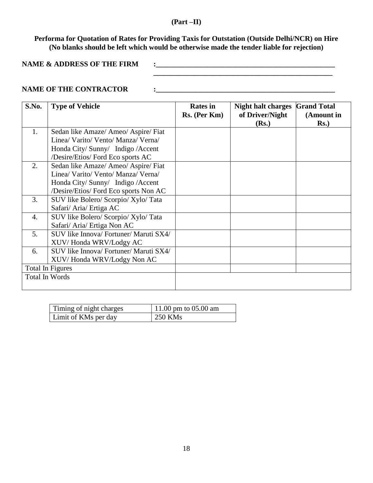#### **(Part –II)**

**Performa for Quotation of Rates for Providing Taxis for Outstation (Outside Delhi/NCR) on Hire (No blanks should be left which would be otherwise made the tender liable for rejection)**

**NAME & ADDRESS OF THE FIRM**  $\qquad \qquad : \qquad \qquad 1$ 

**\_\_\_\_\_\_\_\_\_\_\_\_\_\_\_\_\_\_\_\_\_\_\_\_\_\_\_\_\_\_\_\_\_\_\_\_\_\_\_\_\_\_\_\_\_\_\_\_\_**

### **NAME OF THE CONTRACTOR**  $\qquad \qquad : \qquad$

| S.No. | <b>Type of Vehicle</b>                 | <b>Rates</b> in<br>Rs. (Per Km) | <b>Night halt charges Grand Total</b><br>of Driver/Night<br>(Rs.) | (Amount in<br>$Rs.$ ) |
|-------|----------------------------------------|---------------------------------|-------------------------------------------------------------------|-----------------------|
| 1.    | Sedan like Amaze/ Ameo/ Aspire/ Fiat   |                                 |                                                                   |                       |
|       | Linea/ Varito/ Vento/ Manza/ Verna/    |                                 |                                                                   |                       |
|       | Honda City/ Sunny/ Indigo / Accent     |                                 |                                                                   |                       |
|       | /Desire/Etios/ Ford Eco sports AC      |                                 |                                                                   |                       |
| 2.    | Sedan like Amaze/ Ameo/ Aspire/ Fiat   |                                 |                                                                   |                       |
|       | Linea/ Varito/ Vento/ Manza/ Verna/    |                                 |                                                                   |                       |
|       | Honda City/ Sunny/ Indigo / Accent     |                                 |                                                                   |                       |
|       | /Desire/Etios/ Ford Eco sports Non AC  |                                 |                                                                   |                       |
| 3.    | SUV like Bolero/ Scorpio/ Xylo/ Tata   |                                 |                                                                   |                       |
|       | Safari/ Aria/ Ertiga AC                |                                 |                                                                   |                       |
| 4.    | SUV like Bolero/ Scorpio/ Xylo/ Tata   |                                 |                                                                   |                       |
|       | Safari/ Aria/ Ertiga Non AC            |                                 |                                                                   |                       |
| 5.    | SUV like Innova/ Fortuner/ Maruti SX4/ |                                 |                                                                   |                       |
|       | XUV/Honda WRV/Lodgy AC                 |                                 |                                                                   |                       |
| 6.    | SUV like Innova/ Fortuner/ Maruti SX4/ |                                 |                                                                   |                       |
|       | XUV/Honda WRV/Lodgy Non AC             |                                 |                                                                   |                       |
|       | Total In Figures                       |                                 |                                                                   |                       |
|       | Total In Words                         |                                 |                                                                   |                       |

| Timing of night charges | 11.00 pm to $05.00$ am |
|-------------------------|------------------------|
| Limit of KMs per day    | $\frac{250}{3}$ KMs    |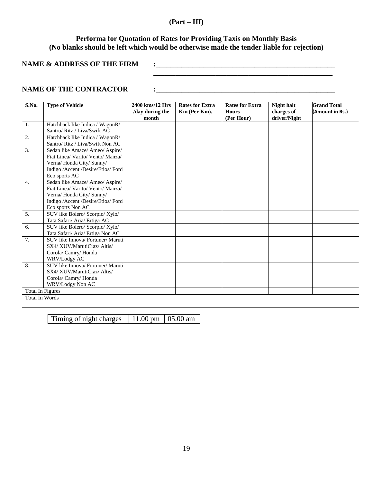### **(Part – III)**

## **Performa for Quotation of Rates for Providing Taxis on Monthly Basis (No blanks should be left which would be otherwise made the tender liable for rejection)**

**\_\_\_\_\_\_\_\_\_\_\_\_\_\_\_\_\_\_\_\_\_\_\_\_\_\_\_\_\_\_\_\_\_\_\_\_\_\_\_\_\_\_\_\_\_\_\_\_\_**

**NAME & ADDRESS OF THE FIRM**  $\qquad$  **:** 

### **NAME OF THE CONTRACTOR :\_\_\_\_\_\_\_\_\_\_\_\_\_\_\_\_\_\_\_\_\_\_\_\_\_\_\_\_\_\_\_\_\_\_\_\_\_\_\_\_\_\_\_\_\_\_\_\_\_**

| S.No.                   | <b>Type of Vehicle</b>             | 2400 kms/12 Hrs<br>/day during the | <b>Rates for Extra</b><br>Km (Per Km). | <b>Rates for Extra</b><br><b>Hours</b> | <b>Night halt</b><br>charges of | <b>Grand Total</b><br>(Amount in Rs.) |
|-------------------------|------------------------------------|------------------------------------|----------------------------------------|----------------------------------------|---------------------------------|---------------------------------------|
|                         |                                    | month                              |                                        | (Per Hour)                             | driver/Night                    |                                       |
| 1.                      | Hatchback like Indica / WagonR/    |                                    |                                        |                                        |                                 |                                       |
|                         | Santro/ Ritz / Liva/Swift AC       |                                    |                                        |                                        |                                 |                                       |
| 2.                      | Hatchback like Indica / WagonR/    |                                    |                                        |                                        |                                 |                                       |
|                         | Santro/ Ritz / Liva/Swift Non AC   |                                    |                                        |                                        |                                 |                                       |
| 3.                      | Sedan like Amaze/ Ameo/ Aspire/    |                                    |                                        |                                        |                                 |                                       |
|                         | Fiat Linea/ Varito/ Vento/ Manza/  |                                    |                                        |                                        |                                 |                                       |
|                         | Verna/Honda City/Sunny/            |                                    |                                        |                                        |                                 |                                       |
|                         | Indigo /Accent /Desire/Etios/ Ford |                                    |                                        |                                        |                                 |                                       |
|                         | Eco sports AC                      |                                    |                                        |                                        |                                 |                                       |
| $\overline{4}$ .        | Sedan like Amaze/ Ameo/ Aspire/    |                                    |                                        |                                        |                                 |                                       |
|                         | Fiat Linea/ Varito/ Vento/ Manza/  |                                    |                                        |                                        |                                 |                                       |
|                         | Verna/Honda City/Sunny/            |                                    |                                        |                                        |                                 |                                       |
|                         | Indigo /Accent /Desire/Etios/ Ford |                                    |                                        |                                        |                                 |                                       |
|                         | Eco sports Non AC                  |                                    |                                        |                                        |                                 |                                       |
| 5.                      | SUV like Bolero/ Scorpio/ Xylo/    |                                    |                                        |                                        |                                 |                                       |
|                         | Tata Safari/ Aria/ Ertiga AC       |                                    |                                        |                                        |                                 |                                       |
| 6.                      | SUV like Bolero/ Scorpio/ Xylo/    |                                    |                                        |                                        |                                 |                                       |
|                         | Tata Safari/ Aria/ Ertiga Non AC   |                                    |                                        |                                        |                                 |                                       |
| 7.                      | SUV like Innova/ Fortuner/ Maruti  |                                    |                                        |                                        |                                 |                                       |
|                         | SX4/XUV/MarutiCiaz/Altis/          |                                    |                                        |                                        |                                 |                                       |
|                         | Corola/ Camry/ Honda               |                                    |                                        |                                        |                                 |                                       |
|                         | WRV/Lodgy AC                       |                                    |                                        |                                        |                                 |                                       |
| 8.                      | SUV like Innova/ Fortuner/ Maruti  |                                    |                                        |                                        |                                 |                                       |
|                         | SX4/XUV/MarutiCiaz/Altis/          |                                    |                                        |                                        |                                 |                                       |
|                         | Corola/ Camry/ Honda               |                                    |                                        |                                        |                                 |                                       |
|                         | WRV/Lodgy Non AC                   |                                    |                                        |                                        |                                 |                                       |
| <b>Total In Figures</b> |                                    |                                    |                                        |                                        |                                 |                                       |
| <b>Total In Words</b>   |                                    |                                    |                                        |                                        |                                 |                                       |
|                         |                                    |                                    |                                        |                                        |                                 |                                       |

Timing of night charges  $11.00 \text{ pm}$  05.00 am